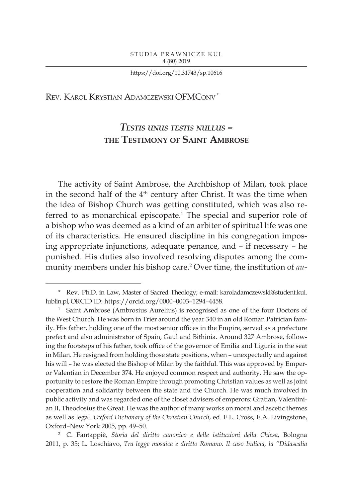https://doi.org/10.31743/sp.10616

Rev. Karol Krystian Adamczewski OFMConv \*

# *Testis unus testis nullus* **– the Testimony of Saint Ambrose**

The activity of Saint Ambrose, the Archbishop of Milan, took place in the second half of the 4<sup>th</sup> century after Christ. It was the time when the idea of Bishop Church was getting constituted, which was also referred to as monarchical episcopate.<sup>1</sup> The special and superior role of a bishop who was deemed as a kind of an arbiter of spiritual life was one of its characteristics. He ensured discipline in his congregation imposing appropriate injunctions, adequate penance, and – if necessary – he punished. His duties also involved resolving disputes among the community members under his bishop care.2 Over time, the institution of *au-*

<sup>\*</sup> Rev. Ph.D. in Law, Master of Sacred Theology; e-mail: karoladamczewski@student.kul. lublin.pl, ORCID ID: https://orcid.org/0000–0003–1294–4458.

Saint Ambrose (Ambrosius Aurelius) is recognised as one of the four Doctors of the West Church. He was born in Trier around the year 340 in an old Roman Patrician family. His father, holding one of the most senior offices in the Empire, served as a prefecture prefect and also administrator of Spain, Gaul and Bithinia. Around 327 Ambrose, following the footsteps of his father, took office of the governor of Emilia and Liguria in the seat in Milan. He resigned from holding those state positions, when – unexpectedly and against his will – he was elected the Bishop of Milan by the faithful. This was approved by Emperor Valentian in December 374. He enjoyed common respect and authority. He saw the opportunity to restore the Roman Empire through promoting Christian values as well as joint cooperation and solidarity between the state and the Church. He was much involved in public activity and was regarded one of the closet advisers of emperors: Gratian, Valentinian II, Theodosius the Great. He was the author of many works on moral and ascetic themes as well as legal. *Oxford Dictionary of the Christian Church*, ed. F.L. Cross, E.A. Livingstone, Oxford–New York 2005, pp. 49–50.

<sup>2</sup> C. Fantappiè, *Storia del diritto canonico e delle istituzioni della Chiesa*, Bologna 2011, p. 35; L. Loschiavo, *Tra legge mosaica e diritto Romano. Il caso Indicia, la "Didascalia*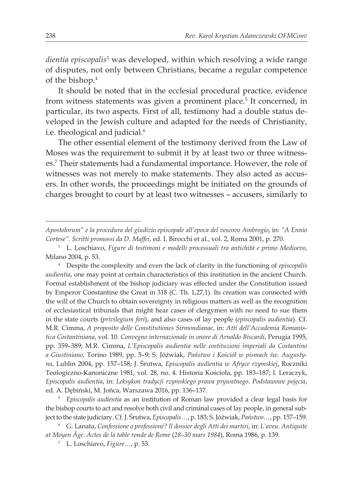*dientia episcopalis*<sup>3</sup> was developed, within which resolving a wide range of disputes, not only between Christians, became a regular competence of the bishop.4

It should be noted that in the ecclesial procedural practice, evidence from witness statements was given a prominent place.<sup>5</sup> It concerned, in particular, its two aspects. First of all, testimony had a double status developed in the Jewish culture and adapted for the needs of Christianity, i.e. theological and judicial.<sup>6</sup>

The other essential element of the testimony derived from the Law of Moses was the requirement to submit it by at least two or three witnesses.7 Their statements had a fundamental importance. However, the role of witnesses was not merely to make statements. They also acted as accusers. In other words, the proceedings might be initiated on the grounds of charges brought to court by at least two witnesses – accusers, similarly to

<sup>4</sup> Despite the complexity and even the lack of clarity in the functioning of *episcopalis audientia*, one may point at certain characteristics of this institution in the ancient Church. Formal establishment of the bishop judiciary was effected under the Constitution issued by Emperor Constantine the Great in 318 (C. Th. 1,27,1). Its creation was connected with the will of the Church to obtain sovereignty in religious matters as well as the recognition of ecclesiastical tribunals that might hear cases of clergymen with no need to sue them in the state courts (*privilegium fori*), and also cases of lay people (*episcopalis audientia*). Cf. M.R. Cimma, *A proposito delle Constitutiones Sirmondianae*, in: *Atti dell'Accademia Romanistica Costantiniana*, vol. 10*. Convegno internazionale in onore di Arnaldo Biscardi*, Perugia 1995, pp. 359–389; M.R. Cimma, *L'Episcopalis audientia nelle costituzioni imperiali da Costantino a Giustiniano*, Torino 1989, pp. 5–9; S. Jóźwiak, *Państwo i Kościół w pismach św. Augustyna*, Lublin 2004, pp. 157–158; J. Śrutwa, *Episcopalis audientia w Afryce rzymskiej*, Roczniki Teologiczno-Kanoniczne 1981, vol. 28, no. 4. Historia Kościoła, pp. 183–187; I. Leraczyk, *Episcopalis audientia*, in: *Leksykon tradycji rzymskiego prawa prywatnego*. *Podstawowe pojęcia*, ed. A. Dębiński, M. Jońca, Warszawa 2016, pp. 136–137.

<sup>5</sup> *Episcopalis audientia* as an institution of Roman law provided a clear legal basis for the bishop courts to act and resolve both civil and criminal cases of lay people, in general subject to the state judiciary. Cf. J. Śrutwa, *Episcopalis…*, p. 183; S. Jóźwiak, *Państwo…*, pp. 157–159.

*Apostolorum" e la procedura del giudizio episcopale all'epoca del vescovo Ambrogio*, in: *"A Ennio Cortese". Scritti promossi da D. Maffei*, ed. I. Birocchi et al., vol. 2, Roma 2001, p. 270.

<sup>3</sup> L. Loschiavo, *Figure di testimoni e modelli processuali tra antichità e primo Medioevo*, Milano 2004, p. 53.

<sup>6</sup> G. Lanata, *Confessione o professioné? Il dossier degli Atti dei martiri*, in: *L'aveu. Antiquite at Moyen Âge. Actes de la table ronde de Rome* (*28–30 mars 1984*), Roma 1986, p. 139.

<sup>7</sup> L. Loschiavo, *Figure…*, p. 53.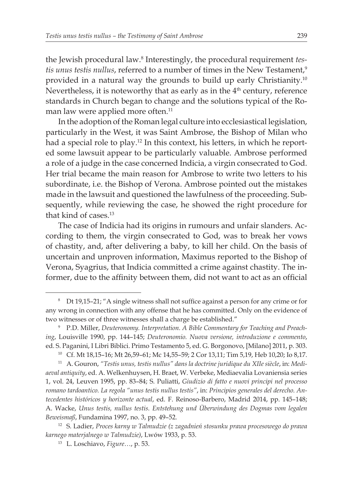the Jewish procedural law.8 Interestingly, the procedural requirement *tes*tis unus testis nullus, referred to a number of times in the New Testament,<sup>9</sup> provided in a natural way the grounds to build up early Christianity.10 Nevertheless, it is noteworthy that as early as in the 4th century, reference standards in Church began to change and the solutions typical of the Roman law were applied more often.<sup>11</sup>

In the adoption of the Roman legal culture into ecclesiastical legislation, particularly in the West, it was Saint Ambrose, the Bishop of Milan who had a special role to play.12 In this context, his letters, in which he reported some lawsuit appear to be particularly valuable. Ambrose performed a role of a judge in the case concerned Indicia, a virgin consecrated to God. Her trial became the main reason for Ambrose to write two letters to his subordinate, i.e. the Bishop of Verona. Ambrose pointed out the mistakes made in the lawsuit and questioned the lawfulness of the proceeding. Subsequently, while reviewing the case, he showed the right procedure for that kind of cases.13

The case of Indicia had its origins in rumours and unfair slanders. According to them, the virgin consecrated to God, was to break her vows of chastity, and, after delivering a baby, to kill her child. On the basis of uncertain and unproven information, Maximus reported to the Bishop of Verona, Syagrius, that Indicia committed a crime against chastity. The informer, due to the affinity between them, did not want to act as an official

<sup>8</sup> Dt 19,15–21; "A single witness shall not suffice against a person for any crime or for any wrong in connection with any offense that he has committed. Only on the evidence of two witnesses or of three witnesses shall a charge be established."

<sup>9</sup> P.D. Miller, *Deuteronomy. Interpretation. A Bible Commentary for Teaching and Preaching*, Louisville 1990, pp. 144–145; *Deuteronomio. Nuova versione, introduzione e commento*, ed. S. Paganini, I Libri Biblici. Primo Testamento 5, ed. G. Borgonovo, [Milano] 2011, p. 303.

<sup>10</sup> Cf. Mt 18,15–16; Mt 26,59–61; Mc 14,55–59; 2 Cor 13,11; Tim 5,19, Heb 10,20; Io 8,17.

<sup>11</sup> A. Gouron, *"Testis unus, testis nullus" dans la doctrine juridique du XIIe siècle*, in: *Mediaeval antiquity*, ed. A. Welkenhuysen, H. Braet, W. Verbeke, Mediaevalia Lovaniensia series 1, vol. 24, Leuven 1995, pp. 83–84; S. Puliatti, *Giudizio di fatto e nuovi principi nel processo romano tardoantico. La regola "unus testis nullus testis"*, in: *Principios generales del derecho. Antecedentes históricos y horizonte actual*, ed. F. Reinoso-Barbero, Madrid 2014, pp. 145–148; A. Wacke, *Unus testis, nullus testis. Entstehung und Überwindung des Dogmas vom legalen Beweismaß*, Fundamina 1997, no. 3, pp. 49–52.

<sup>12</sup> S. Ladier, *Proces karny w Talmudzie (z zagadnień stosunku prawa procesowego do prawa karnego materjalnego w Talmudzie)*, Lwów 1933, p. 53.

<sup>13</sup> L. Loschiavo, *Figure…*, p. 53.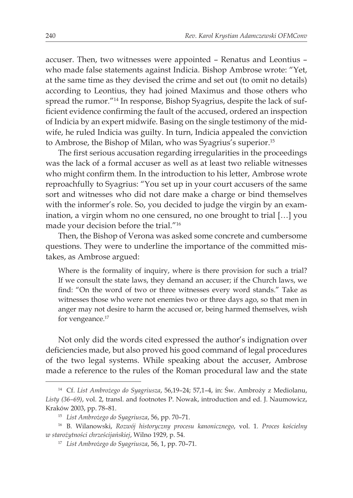accuser. Then, two witnesses were appointed – Renatus and Leontius – who made false statements against Indicia. Bishop Ambrose wrote: "Yet, at the same time as they devised the crime and set out (to omit no details) according to Leontius, they had joined Maximus and those others who spread the rumor."14 In response, Bishop Syagrius, despite the lack of sufficient evidence confirming the fault of the accused, ordered an inspection of Indicia by an expert midwife. Basing on the single testimony of the midwife, he ruled Indicia was guilty. In turn, Indicia appealed the conviction to Ambrose, the Bishop of Milan, who was Syagrius's superior.15

The first serious accusation regarding irregularities in the proceedings was the lack of a formal accuser as well as at least two reliable witnesses who might confirm them. In the introduction to his letter, Ambrose wrote reproachfully to Syagrius: "You set up in your court accusers of the same sort and witnesses who did not dare make a charge or bind themselves with the informer's role. So, you decided to judge the virgin by an examination, a virgin whom no one censured, no one brought to trial […] you made your decision before the trial."16

Then, the Bishop of Verona was asked some concrete and cumbersome questions. They were to underline the importance of the committed mistakes, as Ambrose argued:

Where is the formality of inquiry, where is there provision for such a trial? If we consult the state laws, they demand an accuser; if the Church laws, we find: "On the word of two or three witnesses every word stands." Take as witnesses those who were not enemies two or three days ago, so that men in anger may not desire to harm the accused or, being harmed themselves, wish for vengeance.<sup>17</sup>

Not only did the words cited expressed the author's indignation over deficiencies made, but also proved his good command of legal procedures of the two legal systems. While speaking about the accuser, Ambrose made a reference to the rules of the Roman procedural law and the state

<sup>14</sup> Cf. *List Ambrożego do Syagriusza*, 56,19–24; 57,1–4, in: Św. Ambroży z Mediolanu, *Listy (36–69)*, vol. 2, transl. and footnotes P. Nowak, introduction and ed. J. Naumowicz, Kraków 2003, pp. 78–81.

<sup>15</sup> *List Ambrożego do Syagriusza*, 56, pp. 70–71.

<sup>16</sup> B. Wilanowski, *Rozwój historyczny procesu kanonicznego*, vol. 1*. Proces kościelny w starożytności chrześcijańskiej*, Wilno 1929, p. 54.

<sup>17</sup> *List Ambrożego do Syagriusza*, 56, 1, pp. 70–71.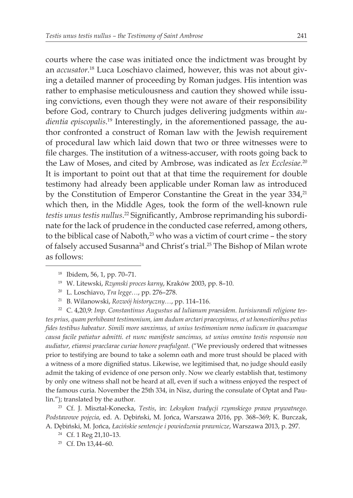courts where the case was initiated once the indictment was brought by an *accusator*. 18 Luca Loschiavo claimed, however, this was not about giving a detailed manner of proceeding by Roman judges. His intention was rather to emphasise meticulousness and caution they showed while issuing convictions, even though they were not aware of their responsibility before God, contrary to Church judges delivering judgments within *audientia episcopalis*. 19 Interestingly, in the aforementioned passage, the author confronted a construct of Roman law with the Jewish requirement of procedural law which laid down that two or three witnesses were to file charges. The institution of a witness-accuser, with roots going back to the Law of Moses, and cited by Ambrose, was indicated as *lex Ecclesiae*. 20 It is important to point out that at that time the requirement for double testimony had already been applicable under Roman law as introduced by the Constitution of Emperor Constantine the Great in the year 334,<sup>21</sup> which then, in the Middle Ages, took the form of the well-known rule *testis unus testis nullus*. <sup>22</sup> Significantly, Ambrose reprimanding his subordinate for the lack of prudence in the conducted case referred, among others, to the biblical case of Naboth, $23$  who was a victim of court crime – the story of falsely accused Susanna<sup>24</sup> and Christ's trial.<sup>25</sup> The Bishop of Milan wrote as follows:

<sup>22</sup> C. 4,20,9: *Imp. Constantinus Augustus ad Iulianum praesidem. Iurisiurandi religione testes prius, quam perhibeant testimonium, iam dudum arctari praecepimus, et ut honestioribus potius fides testibus habeatur. Simili more sanximus, ut unius testimonium nemo iudicum in quacumque causa facile patiatur admitti. et nunc manifeste sancimus, ut unius omnino testis responsio non audiatur, etiamsi praeclarae curiae honore praefulgeat*. ("We previously ordered that witnesses prior to testifying are bound to take a solemn oath and more trust should be placed with a witness of a more dignified status. Likewise, we legitimised that, no judge should easily admit the taking of evidence of one person only. Now we clearly establish that, testimony by only one witness shall not be heard at all, even if such a witness enjoyed the respect of the famous curia. November the 25th 334, in Nisz, during the consulate of Optat and Paulin."); translated by the author.

<sup>23</sup> Cf. J. Misztal-Konecka, *Testis*, in: *Leksykon tradycji rzymskiego prawa prywatnego*. *Podstawowe pojęcia*, ed. A. Dębiński, M. Jońca, Warszawa 2016, pp. 368–369; K. Burczak, A. Dębiński, M. Jońca, *Łacińskie sentencje i powiedzenia prawnicze*, Warszawa 2013, p. 297.

<sup>24</sup> Cf. 1 Reg 21,10–13.

<sup>25</sup> Cf. Dn 13,44–60.

<sup>18</sup> Ibidem, 56, 1, pp. 70–71.

<sup>19</sup> W. Litewski, *Rzymski proces karny*, Kraków 2003, pp. 8–10.

<sup>20</sup> L. Loschiavo, *Tra legge…*, pp. 276–278.

<sup>21</sup> B. Wilanowski, *Rozwój historyczny…*, pp. 114–116.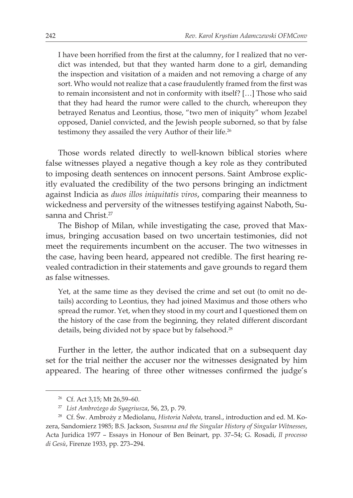I have been horrified from the first at the calumny, for I realized that no verdict was intended, but that they wanted harm done to a girl, demanding the inspection and visitation of a maiden and not removing a charge of any sort. Who would not realize that a case fraudulently framed from the first was to remain inconsistent and not in conformity with itself? […] Those who said that they had heard the rumor were called to the church, whereupon they betrayed Renatus and Leontius, those, "two men of iniquity" whom Jezabel opposed, Daniel convicted, and the Jewish people suborned, so that by false testimony they assailed the very Author of their life.<sup>26</sup>

Those words related directly to well-known biblical stories where false witnesses played a negative though a key role as they contributed to imposing death sentences on innocent persons. Saint Ambrose explicitly evaluated the credibility of the two persons bringing an indictment against Indicia as *duos illos iniquitatis viros*, comparing their meanness to wickedness and perversity of the witnesses testifying against Naboth, Susanna and Christ.<sup>27</sup>

The Bishop of Milan, while investigating the case, proved that Maximus, bringing accusation based on two uncertain testimonies, did not meet the requirements incumbent on the accuser. The two witnesses in the case, having been heard, appeared not credible. The first hearing revealed contradiction in their statements and gave grounds to regard them as false witnesses.

Yet, at the same time as they devised the crime and set out (to omit no details) according to Leontius, they had joined Maximus and those others who spread the rumor. Yet, when they stood in my court and I questioned them on the history of the case from the beginning, they related different discordant details, being divided not by space but by falsehood.<sup>28</sup>

Further in the letter, the author indicated that on a subsequent day set for the trial neither the accuser nor the witnesses designated by him appeared. The hearing of three other witnesses confirmed the judge's

<sup>26</sup> Cf. Act 3,15; Mt 26,59–60.

<sup>27</sup> *List Ambrożego do Syagriusza*, 56, 23, p. 79.

<sup>28</sup> Cf. Św. Ambroży z Mediolanu, *Historia Nabota*, transl., introduction and ed. M. Kozera, Sandomierz 1985; B.S. Jackson, *Susanna and the Singular History of Singular Witnesses*, Acta Juridica 1977 – Essays in Honour of Ben Beinart, pp. 37–54; G. Rosadi, *Il processo di Gesù*, Firenze 1933, pp. 273–294.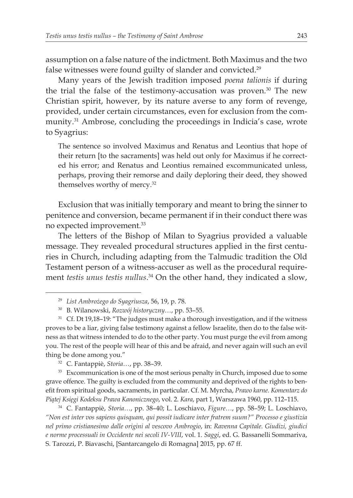assumption on a false nature of the indictment. Both Maximus and the two false witnesses were found guilty of slander and convicted.<sup>29</sup>

Many years of the Jewish tradition imposed *poena talionis* if during the trial the false of the testimony-accusation was proven.30 The new Christian spirit, however, by its nature averse to any form of revenge, provided, under certain circumstances, even for exclusion from the community.31 Ambrose, concluding the proceedings in Indicia's case, wrote to Syagrius:

The sentence so involved Maximus and Renatus and Leontius that hope of their return [to the sacraments] was held out only for Maximus if he corrected his error; and Renatus and Leontius remained excommunicated unless, perhaps, proving their remorse and daily deploring their deed, they showed themselves worthy of mercy.<sup>32</sup>

Exclusion that was initially temporary and meant to bring the sinner to penitence and conversion, became permanent if in their conduct there was no expected improvement.33

The letters of the Bishop of Milan to Syagrius provided a valuable message. They revealed procedural structures applied in the first centuries in Church, including adapting from the Talmudic tradition the Old Testament person of a witness-accuser as well as the procedural requirement *testis unus testis nullus*. 34 On the other hand, they indicated a slow,

<sup>32</sup> C. Fantappiè, *Storia…*, pp. 38–39.

<sup>33</sup> Excommunication is one of the most serious penalty in Church, imposed due to some grave offence. The guilty is excluded from the community and deprived of the rights to benefit from spiritual goods, sacraments, in particular. Cf. M. Myrcha, *Prawo karne. Komentarz do Piątej Księgi Kodeksu Prawa Kanonicznego*, vol. 2. *Kara*, part 1, Warszawa 1960, pp. 112–115.

<sup>34</sup> C. Fantappiè, *Storia…*, pp. 38–40; L. Loschiavo, *Figure…*, pp. 58–59; L. Loschiavo, *"Non est inter vos sapiens quisquam, qui possit iudicare inter fratrem suum?" Processo e giustizia nel primo cristianesimo dalle origini al vescovo Ambrogio*, in: *Ravenna Capitale. Giudizi, giudici e norme processuali in Occidente nei secoli IV-VIII*, vol. 1. *Saggi*, ed. G. Bassanelli Sommariva, S. Tarozzi, P. Biavaschi, [Santarcangelo di Romagna] 2015, pp. 67 ff.

<sup>29</sup> *List Ambrożego do Syagriusza*, 56, 19, p. 78.

<sup>30</sup> B. Wilanowski, *Rozwój historyczny…*, pp. 53–55.

 $31$  Cf. Dt 19,18-19: "The judges must make a thorough investigation, and if the witness proves to be a liar, giving false testimony against a fellow Israelite, then do to the false witness as that witness intended to do to the other party. You must purge the evil from among you. The rest of the people will hear of this and be afraid, and never again will such an evil thing be done among you."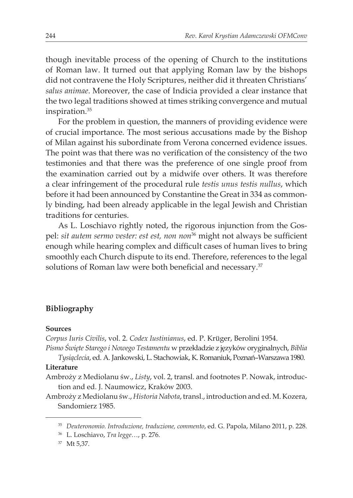though inevitable process of the opening of Church to the institutions of Roman law. It turned out that applying Roman law by the bishops did not contravene the Holy Scriptures, neither did it threaten Christians' *salus animae*. Moreover, the case of Indicia provided a clear instance that the two legal traditions showed at times striking convergence and mutual inspiration.35

For the problem in question, the manners of providing evidence were of crucial importance. The most serious accusations made by the Bishop of Milan against his subordinate from Verona concerned evidence issues. The point was that there was no verification of the consistency of the two testimonies and that there was the preference of one single proof from the examination carried out by a midwife over others. It was therefore a clear infringement of the procedural rule *testis unus testis nullus*, which before it had been announced by Constantine the Great in 334 as commonly binding, had been already applicable in the legal Jewish and Christian traditions for centuries.

As L. Loschiavo rightly noted, the rigorous injunction from the Gospel: *sit autem sermo vester: est est, non non*<sup>36</sup> might not always be sufficient enough while hearing complex and difficult cases of human lives to bring smoothly each Church dispute to its end. Therefore, references to the legal solutions of Roman law were both beneficial and necessary.<sup>37</sup>

# **Bibliography**

### **Sources**

*Corpus Iuris Civilis*, vol. 2. *Codex Iustinianus*, ed. P. Krüger, Berolini 1954.

*Pismo Święte Starego i Nowego Testamentu* w przekładzie z języków oryginalnych, *Biblia Tysiąclecia*, ed. A. Jankowski, L. Stachowiak, K.Romaniuk, Poznań–Warszawa 1980.

#### **Literature**

Ambroży z Mediolanu św., *Listy*, vol. 2, transl. and footnotes P. Nowak, introduction and ed. J. Naumowicz, Kraków 2003.

Ambroży zMediolanu św., *Historia Nabota*, transl., introduction and ed. M. Kozera, Sandomierz 1985.

<sup>35</sup> *Deuteronomio. Introduzione, traduzione, commento*, ed. G. Papola, Milano 2011, p. 228.

<sup>36</sup> L. Loschiavo, *Tra legge…*, p. 276.

<sup>37</sup> Mt 5,37.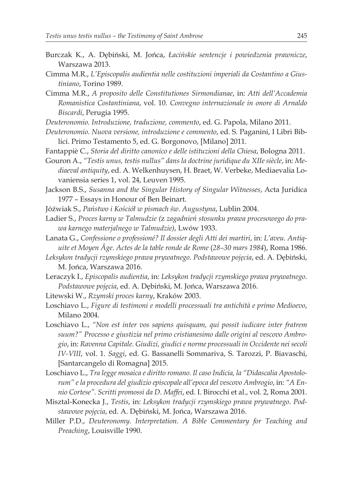- Burczak K., A. Dębiński, M. Jońca, *Łacińskie sentencje i powiedzenia prawnicze*, Warszawa 2013.
- Cimma M.R., *L'Episcopalis audientia nelle costituzioni imperiali da Costantino a Giustiniano*, Torino 1989.
- Cimma M.R., *A proposito delle Constitutiones Sirmondianae*, in: *Atti dell'Accademia Romanistica Costantiniana*, vol. 10. *Convegno internazionale in onore di Arnaldo Biscardi*, Perugia 1995.
- *Deuteronomio. Introduzione, traduzione, commento*, ed. G. Papola, Milano 2011.
- *Deuteronomio. Nuova versione, introduzione e commento*, ed. S. Paganini, I Libri Biblici. Primo Testamento 5, ed. G. Borgonovo, [Milano] 2011.
- Fantappiè C., *Storia del diritto canonico e delle istituzioni della Chiesa*, Bologna 2011.
- Gouron A., *"Testis unus, testis nullus" dans la doctrine juridique du XIIe siècle*, in: *Mediaeval antiquity*, ed. A. Welkenhuysen, H. Braet, W. Verbeke, Mediaevalia Lovaniensia series 1, vol. 24, Leuven 1995.
- Jackson B.S., *Susanna and the Singular History of Singular Witnesses*, Acta Juridica 1977 – Essays in Honour of Ben Beinart.
- Jóźwiak S., *Państwo i Kościół w pismach św. Augustyna*, Lublin 2004.
- Ladier S., *Proces karny w Talmudzie (*z *zagadnień stosunku prawa procesowego do prawa karnego materjalnego w Talmudzie)*, Lwów 1933.
- Lanata G., *Confessione o professioné? Il dossier degli Atti dei martiri*, in: *L'aveu. Antiquite et Moyen Âge. Actes de la table ronde de Rome* (*28–30 mars 1984*), Roma 1986.
- *Leksykon tradycji rzymskiego prawa prywatnego. Podstawowe pojęcia*, ed. A. Dębiński, M. Jońca, Warszawa 2016.
- Leraczyk I., *Episcopalis audientia*, in: *Leksykon tradycji rzymskiego prawa prywatnego*. *Podstawowe pojęcia*, ed. A. Dębiński, M. Jońca, Warszawa 2016.
- Litewski W., *Rzymski proces karny*, Kraków 2003.
- Loschiavo L., *Figure di testimoni e modelli processuali tra antichità e primo Medioevo*, Milano 2004.
- Loschiavo L., *"Non est inter vos sapiens quisquam, qui possit iudicare inter fratrem suum?" Processo e giustizia nel primo cristianesimo dalle origini al vescovo Ambrogio*, in: *Ravenna Capitale. Giudizi, giudici e norme processuali in Occidente nei secoli IV-VIII*, vol. 1. *Saggi*, ed. G. Bassanelli Sommariva, S. Tarozzi, P. Biavaschi, [Santarcangelo di Romagna] 2015.
- Loschiavo L., *Tra legge mosaica e diritto romano. Il caso Indicia, la "Didascalia Apostolorum" e la procedura del giudizio episcopale all'epoca del vescovo Ambrogio*, in: *"A Ennio Cortese". Scritti promossi da D. Maffei*, ed. I. Birocchi et al., vol. 2, Roma 2001.
- Misztal-Konecka J., *Testis*, in: *Leksykon tradycji rzymskiego prawa prywatnego*. *Podstawowe pojęcia*, ed. A. Dębiński, M. Jońca, Warszawa 2016.
- Miller P.D., *Deuteronomy. Interpretation. A Bible Commentary for Teaching and Preaching*, Louisville 1990.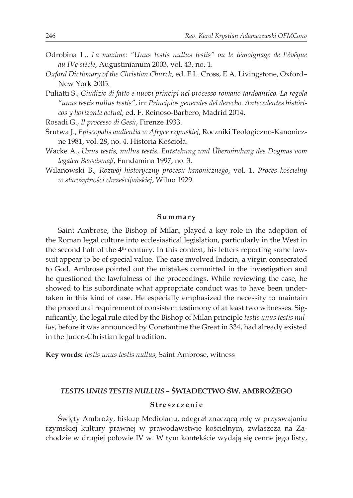- Odrobina L., *La maxime: "Unus testis nullus testis" ou le témoignage de l'évêque au IVe siècle*, Augustinianum 2003, vol. 43, no. 1.
- *Oxford Dictionary of the Christian Church*, ed. F.L. Cross, E.A. Livingstone, Oxford– New York 2005.
- Puliatti S., *Giudizio di fatto e nuovi principi nel processo romano tardoantico. La regola "unus testis nullus testis"*, in: *Principios generales del derecho. Antecedentes históricos y horizonte actual*, ed. F. Reinoso-Barbero, Madrid 2014.

Rosadi G., *Il processo di Gesù*, Firenze 1933.

- Śrutwa J., *Episcopalis audientia w Afryce rzymskiej*, Roczniki Teologiczno-Kanoniczne 1981, vol. 28, no. 4. Historia Kościoła.
- Wacke A., *Unus testis, nullus testis. Entstehung und Überwindung des Dogmas vom legalen Beweismaß*, Fundamina 1997, no. 3.
- Wilanowski B., *Rozwój historyczny procesu kanonicznego*, vol. 1. *Proces kościelny w starożytności chrześcijańskiej*, Wilno 1929.

#### **Summary**

Saint Ambrose, the Bishop of Milan, played a key role in the adoption of the Roman legal culture into ecclesiastical legislation, particularly in the West in the second half of the 4<sup>th</sup> century. In this context, his letters reporting some lawsuit appear to be of special value. The case involved Indicia, a virgin consecrated to God. Ambrose pointed out the mistakes committed in the investigation and he questioned the lawfulness of the proceedings. While reviewing the case, he showed to his subordinate what appropriate conduct was to have been undertaken in this kind of case. He especially emphasized the necessity to maintain the procedural requirement of consistent testimony of at least two witnesses. Significantly, the legal rule cited by the Bishop of Milan principle *testis unus testis nullus*, before it was announced by Constantine the Great in 334, had already existed in the Judeo-Christian legal tradition.

**Key words:** *testis unus testis nullus*, Saint Ambrose, witness

# *TESTIS UNUS TESTIS NULLUS* **– ŚWIADECTWO ŚW. AMBROŻEGO**

## **Streszczenie**

Święty Ambroży, biskup Mediolanu, odegrał znaczącą rolę w przyswajaniu rzymskiej kultury prawnej w prawodawstwie kościelnym, zwłaszcza na Zachodzie w drugiej połowie IV w. W tym kontekście wydają się cenne jego listy,